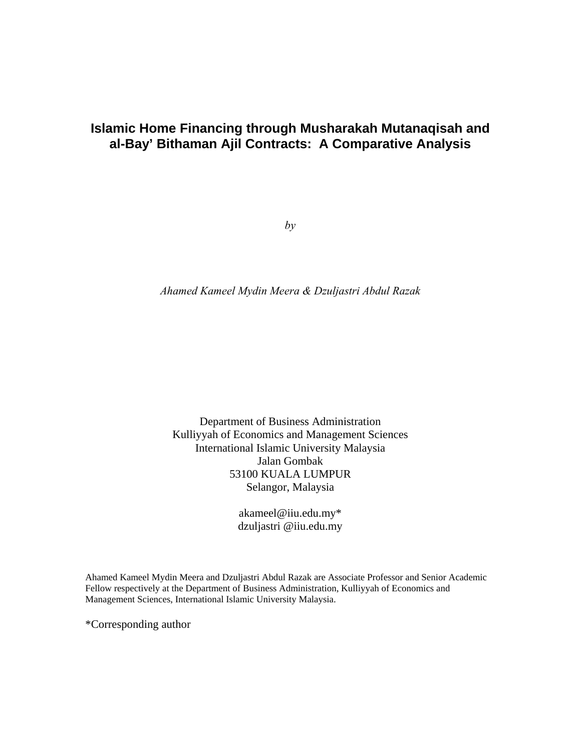# **Islamic Home Financing through Musharakah Mutanaqisah and al-Bay' Bithaman Ajil Contracts: A Comparative Analysis**

 $by$ 

*Ahamed Kameel Mydin Meera & Dzuljastri Abdul Razak* 

Department of Business Administration Kulliyyah of Economics and Management Sciences International Islamic University Malaysia Jalan Gombak 53100 KUALA LUMPUR Selangor, Malaysia

> akameel@iiu.edu.my\* dzuljastri @iiu.edu.my

Ahamed Kameel Mydin Meera and Dzuljastri Abdul Razak are Associate Professor and Senior Academic Fellow respectively at the Department of Business Administration, Kulliyyah of Economics and Management Sciences, International Islamic University Malaysia.

\*Corresponding author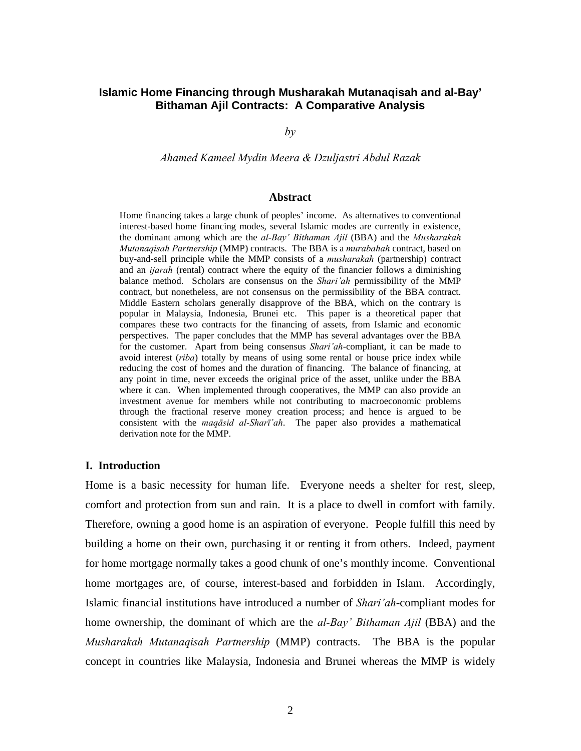# **Islamic Home Financing through Musharakah Mutanaqisah and al-Bay' Bithaman Ajil Contracts: A Comparative Analysis**

*by* 

*Ahamed Kameel Mydin Meera & Dzuljastri Abdul Razak* 

#### **Abstract**

Home financing takes a large chunk of peoples' income. As alternatives to conventional interest-based home financing modes, several Islamic modes are currently in existence, the dominant among which are the *al-Bay' Bithaman Ajil* (BBA) and the *Musharakah Mutanaqisah Partnership* (MMP) contracts. The BBA is a *murabahah* contract, based on buy-and-sell principle while the MMP consists of a *musharakah* (partnership) contract and an *ijarah* (rental) contract where the equity of the financier follows a diminishing balance method. Scholars are consensus on the *Shari'ah* permissibility of the MMP contract, but nonetheless, are not consensus on the permissibility of the BBA contract. Middle Eastern scholars generally disapprove of the BBA, which on the contrary is popular in Malaysia, Indonesia, Brunei etc. This paper is a theoretical paper that compares these two contracts for the financing of assets, from Islamic and economic perspectives. The paper concludes that the MMP has several advantages over the BBA for the customer. Apart from being consensus *Shari'ah*-compliant, it can be made to avoid interest (*riba*) totally by means of using some rental or house price index while reducing the cost of homes and the duration of financing. The balance of financing, at any point in time, never exceeds the original price of the asset, unlike under the BBA where it can. When implemented through cooperatives, the MMP can also provide an investment avenue for members while not contributing to macroeconomic problems through the fractional reserve money creation process; and hence is argued to be consistent with the *maqāsid al-Sharī'ah*. The paper also provides a mathematical derivation note for the MMP.

## **I. Introduction**

Home is a basic necessity for human life. Everyone needs a shelter for rest, sleep, comfort and protection from sun and rain. It is a place to dwell in comfort with family. Therefore, owning a good home is an aspiration of everyone. People fulfill this need by building a home on their own, purchasing it or renting it from others. Indeed, payment for home mortgage normally takes a good chunk of one's monthly income. Conventional home mortgages are, of course, interest-based and forbidden in Islam. Accordingly, Islamic financial institutions have introduced a number of *Shari'ah*-compliant modes for home ownership, the dominant of which are the *al-Bay' Bithaman Ajil* (BBA) and the *Musharakah Mutanaqisah Partnership* (MMP) contracts. The BBA is the popular concept in countries like Malaysia, Indonesia and Brunei whereas the MMP is widely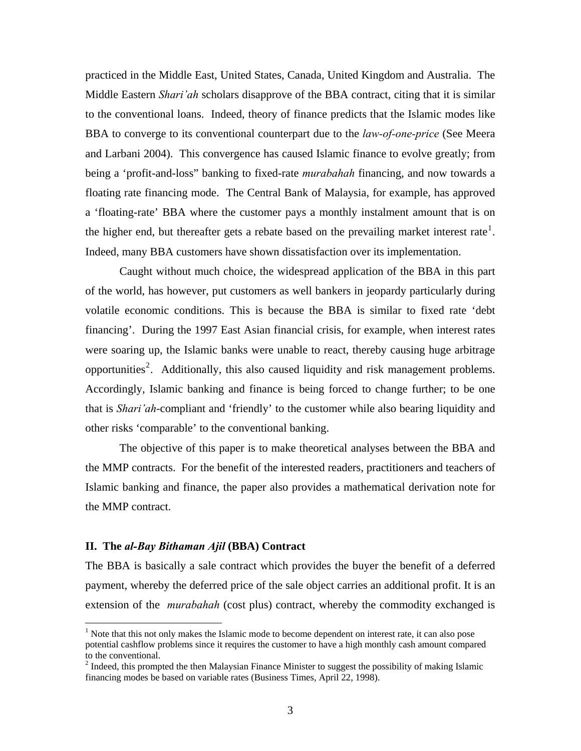practiced in the Middle East, United States, Canada, United Kingdom and Australia. The Middle Eastern *Shari'ah* scholars disapprove of the BBA contract, citing that it is similar to the conventional loans. Indeed, theory of finance predicts that the Islamic modes like BBA to converge to its conventional counterpart due to the *law-of-one-price* (See Meera and Larbani 2004). This convergence has caused Islamic finance to evolve greatly; from being a 'profit-and-loss" banking to fixed-rate *murabahah* financing, and now towards a floating rate financing mode. The Central Bank of Malaysia, for example, has approved a 'floating-rate' BBA where the customer pays a monthly instalment amount that is on the higher end, but thereafter gets a rebate based on the prevailing market interest rate<sup>[1](#page-2-0)</sup>. Indeed, many BBA customers have shown dissatisfaction over its implementation.

 Caught without much choice, the widespread application of the BBA in this part of the world, has however, put customers as well bankers in jeopardy particularly during volatile economic conditions. This is because the BBA is similar to fixed rate 'debt financing'. During the 1997 East Asian financial crisis, for example, when interest rates were soaring up, the Islamic banks were unable to react, thereby causing huge arbitrage opportunities<sup>[2](#page-2-1)</sup>. Additionally, this also caused liquidity and risk management problems. Accordingly, Islamic banking and finance is being forced to change further; to be one that is *Shari'ah*-compliant and 'friendly' to the customer while also bearing liquidity and other risks 'comparable' to the conventional banking.

 The objective of this paper is to make theoretical analyses between the BBA and the MMP contracts. For the benefit of the interested readers, practitioners and teachers of Islamic banking and finance, the paper also provides a mathematical derivation note for the MMP contract.

#### **II. The** *al-Bay Bithaman Ajil* **(BBA) Contract**

1

The BBA is basically a sale contract which provides the buyer the benefit of a deferred payment, whereby the deferred price of the sale object carries an additional profit. It is an extension of the *murabahah* (cost plus) contract, whereby the commodity exchanged is

<span id="page-2-0"></span><sup>&</sup>lt;sup>1</sup> Note that this not only makes the Islamic mode to become dependent on interest rate, it can also pose potential cashflow problems since it requires the customer to have a high monthly cash amount compared to the conventional.

<span id="page-2-1"></span> $2^{2}$  Indeed, this prompted the then Malaysian Finance Minister to suggest the possibility of making Islamic financing modes be based on variable rates (Business Times, April 22, 1998).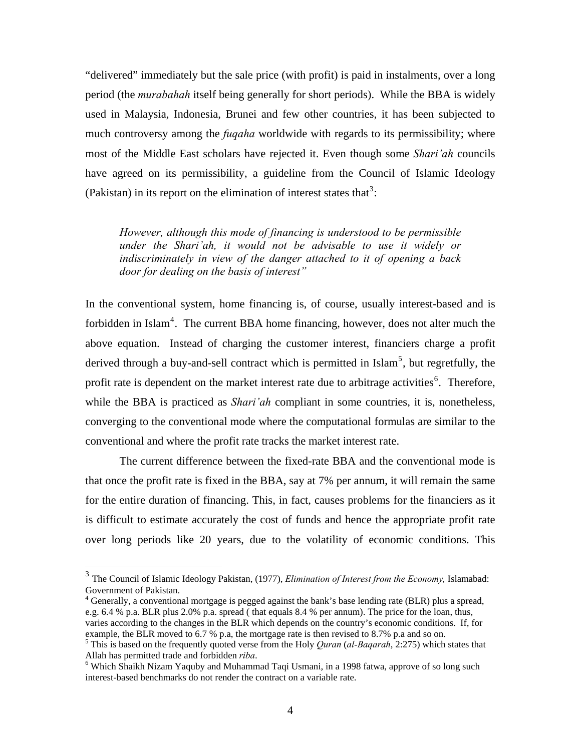"delivered" immediately but the sale price (with profit) is paid in instalments, over a long period (the *murabahah* itself being generally for short periods). While the BBA is widely used in Malaysia, Indonesia, Brunei and few other countries, it has been subjected to much controversy among the *fuqaha* worldwide with regards to its permissibility; where most of the Middle East scholars have rejected it. Even though some *Shari'ah* councils have agreed on its permissibility, a guideline from the Council of Islamic Ideology (Pakistan) in its report on the elimination of interest states that<sup>[3](#page-3-0)</sup>:

*However, although this mode of financing is understood to be permissible under the Shari'ah, it would not be advisable to use it widely or indiscriminately in view of the danger attached to it of opening a back door for dealing on the basis of interest"* 

In the conventional system, home financing is, of course, usually interest-based and is forbidden in Islam<sup>[4](#page-3-1)</sup>. The current BBA home financing, however, does not alter much the above equation. Instead of charging the customer interest, financiers charge a profit derived through a buy-and-sell contract which is permitted in Islam<sup>[5](#page-3-2)</sup>, but regretfully, the profit rate is dependent on the market interest rate due to arbitrage activities<sup>[6](#page-3-3)</sup>. Therefore, while the BBA is practiced as *Shari'ah* compliant in some countries, it is, nonetheless, converging to the conventional mode where the computational formulas are similar to the conventional and where the profit rate tracks the market interest rate.

 The current difference between the fixed-rate BBA and the conventional mode is that once the profit rate is fixed in the BBA, say at 7% per annum, it will remain the same for the entire duration of financing. This, in fact, causes problems for the financiers as it is difficult to estimate accurately the cost of funds and hence the appropriate profit rate over long periods like 20 years, due to the volatility of economic conditions. This

 $\overline{a}$ 

<span id="page-3-1"></span> $4$  Generally, a conventional mortgage is pegged against the bank's base lending rate (BLR) plus a spread, e.g. 6.4 % p.a. BLR plus 2.0% p.a. spread ( that equals 8.4 % per annum). The price for the loan, thus, varies according to the changes in the BLR which depends on the country's economic conditions. If, for example, the BLR moved to 6.7 % p.a, the mortgage rate is then revised to 8.7% p.a and so on.

<span id="page-3-0"></span><sup>3</sup> The Council of Islamic Ideology Pakistan, (1977), *Elimination of Interest from the Economy,* Islamabad: Government of Pakistan.

<span id="page-3-2"></span><sup>5</sup> This is based on the frequently quoted verse from the Holy *Quran* (*al-Baqarah*, 2:275) which states that Allah has permitted trade and forbidden *riba*. 6

<span id="page-3-3"></span><sup>&</sup>lt;sup>6</sup> Which Shaikh Nizam Yaquby and Muhammad Taqi Usmani, in a 1998 fatwa, approve of so long such interest-based benchmarks do not render the contract on a variable rate.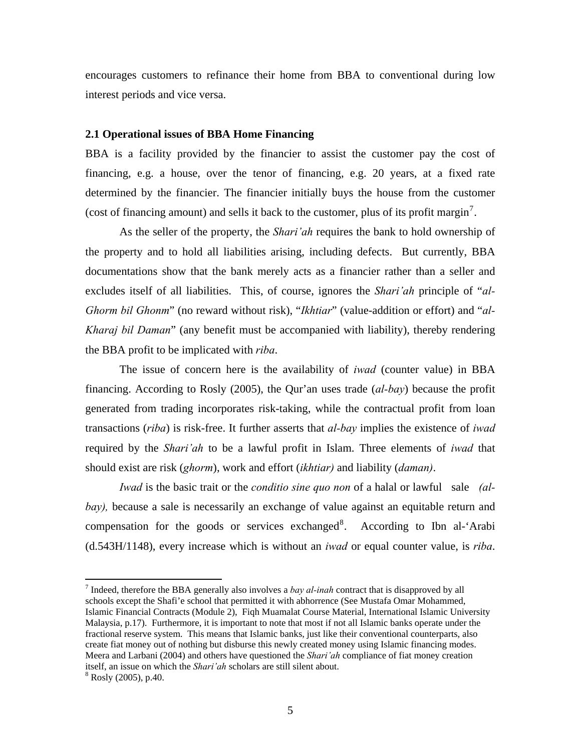encourages customers to refinance their home from BBA to conventional during low interest periods and vice versa.

## **2.1 Operational issues of BBA Home Financing**

BBA is a facility provided by the financier to assist the customer pay the cost of financing, e.g. a house, over the tenor of financing, e.g. 20 years, at a fixed rate determined by the financier. The financier initially buys the house from the customer (cost of financing amount) and sells it back to the customer, plus of its profit margin<sup>[7](#page-4-0)</sup>.

 As the seller of the property, the *Shari'ah* requires the bank to hold ownership of the property and to hold all liabilities arising, including defects. But currently, BBA documentations show that the bank merely acts as a financier rather than a seller and excludes itself of all liabilities. This, of course, ignores the *Shari'ah* principle of "*al-Ghorm bil Ghonm*" (no reward without risk), "*Ikhtiar*" (value-addition or effort) and "*al-Kharaj bil Daman*" (any benefit must be accompanied with liability), thereby rendering the BBA profit to be implicated with *riba*.

 The issue of concern here is the availability of *iwad* (counter value) in BBA financing. According to Rosly (2005), the Qur'an uses trade (*al-bay*) because the profit generated from trading incorporates risk-taking, while the contractual profit from loan transactions (*riba*) is risk-free. It further asserts that *al-bay* implies the existence of *iwad*  required by the *Shari'ah* to be a lawful profit in Islam. Three elements of *iwad* that should exist are risk (*ghorm*), work and effort (*ikhtiar)* and liability (*daman)*.

*Iwad* is the basic trait or the *conditio sine quo non* of a halal or lawful sale *(albay),* because a sale is necessarily an exchange of value against an equitable return and compensation for the goods or services exchanged<sup>[8](#page-4-1)</sup>. According to Ibn al-'Arabi (d.543H/1148), every increase which is without an *iwad* or equal counter value, is *riba*.

 $\overline{a}$ 

<span id="page-4-0"></span><sup>7</sup> Indeed, therefore the BBA generally also involves a *bay al-inah* contract that is disapproved by all schools except the Shafi'e school that permitted it with abhorrence (See Mustafa Omar Mohammed, Islamic Financial Contracts (Module 2), Fiqh Muamalat Course Material, International Islamic University Malaysia, p.17). Furthermore, it is important to note that most if not all Islamic banks operate under the fractional reserve system. This means that Islamic banks, just like their conventional counterparts, also create fiat money out of nothing but disburse this newly created money using Islamic financing modes. Meera and Larbani (2004) and others have questioned the *Shari'ah* compliance of fiat money creation itself, an issue on which the *Shari'ah* scholars are still silent about. 8

<span id="page-4-1"></span> $8$  Rosly (2005), p.40.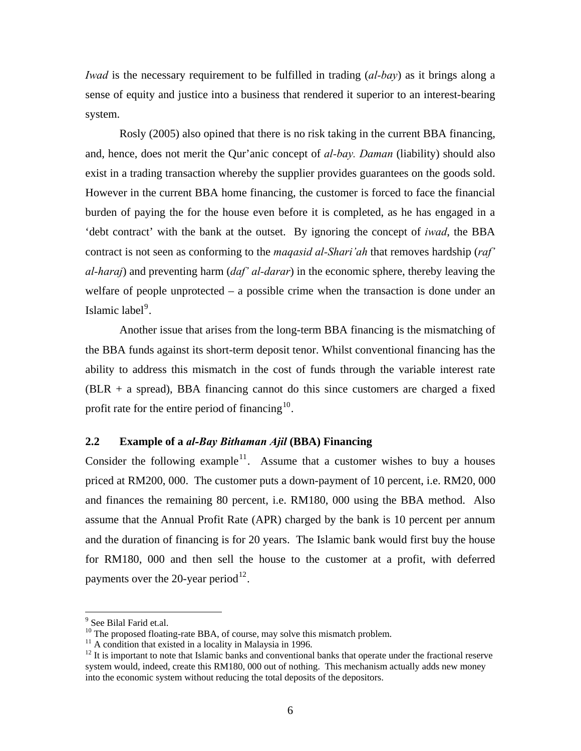*Iwad* is the necessary requirement to be fulfilled in trading (*al-bay*) as it brings along a sense of equity and justice into a business that rendered it superior to an interest-bearing system.

 Rosly (2005) also opined that there is no risk taking in the current BBA financing, and, hence, does not merit the Qur'anic concept of *al-bay. Daman* (liability) should also exist in a trading transaction whereby the supplier provides guarantees on the goods sold. However in the current BBA home financing, the customer is forced to face the financial burden of paying the for the house even before it is completed, as he has engaged in a 'debt contract' with the bank at the outset. By ignoring the concept of *iwad*, the BBA contract is not seen as conforming to the *maqasid al-Shari'ah* that removes hardship (*raf' al-haraj*) and preventing harm (*daf' al-darar*) in the economic sphere, thereby leaving the welfare of people unprotected – a possible crime when the transaction is done under an Islamic label<sup>[9](#page-5-0)</sup>.

Another issue that arises from the long-term BBA financing is the mismatching of the BBA funds against its short-term deposit tenor. Whilst conventional financing has the ability to address this mismatch in the cost of funds through the variable interest rate  $(BLR + a$  spread), BBA financing cannot do this since customers are charged a fixed profit rate for the entire period of financing $10$ .

## **2.2 Example of a** *al-Bay Bithaman Ajil* **(BBA) Financing**

Consider the following example<sup>[11](#page-5-2)</sup>. Assume that a customer wishes to buy a houses priced at RM200, 000. The customer puts a down-payment of 10 percent, i.e. RM20, 000 and finances the remaining 80 percent, i.e. RM180, 000 using the BBA method. Also assume that the Annual Profit Rate (APR) charged by the bank is 10 percent per annum and the duration of financing is for 20 years. The Islamic bank would first buy the house for RM180, 000 and then sell the house to the customer at a profit, with deferred payments over the 20-year period<sup>[12](#page-5-3)</sup>.

1

<sup>&</sup>lt;sup>9</sup> See Bilal Farid et.al.

<span id="page-5-1"></span><span id="page-5-0"></span><sup>&</sup>lt;sup>10</sup> The proposed floating-rate BBA, of course, may solve this mismatch problem.

<span id="page-5-2"></span><sup>&</sup>lt;sup>11</sup> A condition that existed in a locality in Malaysia in 1996.

<span id="page-5-3"></span><sup>&</sup>lt;sup>12</sup> It is important to note that Islamic banks and conventional banks that operate under the fractional reserve system would, indeed, create this RM180, 000 out of nothing. This mechanism actually adds new money into the economic system without reducing the total deposits of the depositors.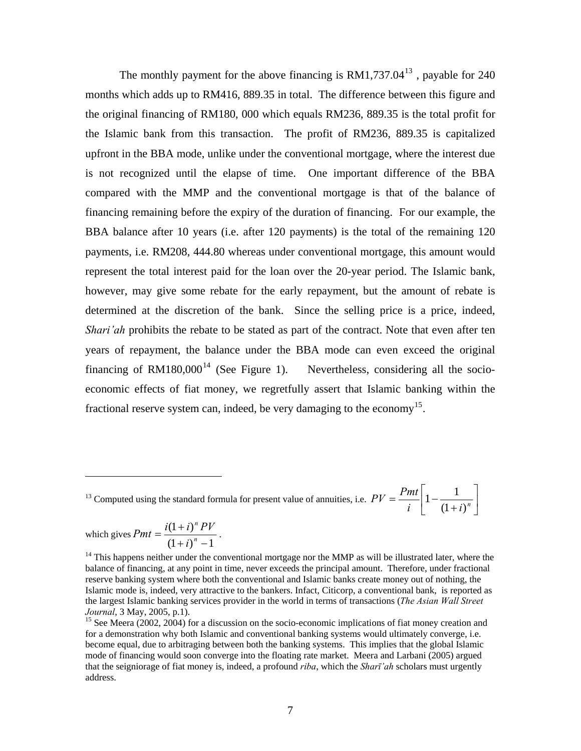The monthly payment for the above financing is  $RM1,737.04^{13}$  $RM1,737.04^{13}$  $RM1,737.04^{13}$ , payable for 240 months which adds up to RM416, 889.35 in total. The difference between this figure and the original financing of RM180, 000 which equals RM236, 889.35 is the total profit for the Islamic bank from this transaction. The profit of RM236, 889.35 is capitalized upfront in the BBA mode, unlike under the conventional mortgage, where the interest due is not recognized until the elapse of time. One important difference of the BBA compared with the MMP and the conventional mortgage is that of the balance of financing remaining before the expiry of the duration of financing. For our example, the BBA balance after 10 years (i.e. after 120 payments) is the total of the remaining 120 payments, i.e. RM208, 444.80 whereas under conventional mortgage, this amount would represent the total interest paid for the loan over the 20-year period. The Islamic bank, however, may give some rebate for the early repayment, but the amount of rebate is determined at the discretion of the bank. Since the selling price is a price, indeed, *Shari'ah* prohibits the rebate to be stated as part of the contract. Note that even after ten years of repayment, the balance under the BBA mode can even exceed the original financing of  $RM180,000^{14}$  $RM180,000^{14}$  $RM180,000^{14}$  (See Figure 1). Nevertheless, considering all the socioeconomic effects of fiat money, we regretfully assert that Islamic banking within the fractional reserve system can, indeed, be very damaging to the economy<sup>[15](#page-6-2)</sup>.

<span id="page-6-0"></span><sup>13</sup> Computed using the standard formula for present value of annuities, i.e.  $PV = \frac{1}{t} \left| 1 - \frac{1}{(1 + i)^n} \right|$ ⎦  $\left|1 - \frac{1}{(1 + i)^n}\right|$ ⎣  $\mathsf{L}$  $PV = \frac{Pmt}{i} \left( 1 - \frac{1}{(1+i)^n} \right)$  $(1+i)$  $1 - \frac{1}{\cdots}$ 

which gives  $Pmt = \frac{(\sqrt{1+i})^n - 1}{(1+i)^n - 1}$  $(1+i)$  $=\frac{i(1+i)^n P}{(1+i)^n}$ *i*  $Pmt = \frac{i(1+i)^n PV}{n}$ .

 $\overline{a}$ 

<span id="page-6-1"></span> $14$  This happens neither under the conventional mortgage nor the MMP as will be illustrated later, where the balance of financing, at any point in time, never exceeds the principal amount. Therefore, under fractional reserve banking system where both the conventional and Islamic banks create money out of nothing, the Islamic mode is, indeed, very attractive to the bankers. Infact, Citicorp, a conventional bank, is reported as the largest Islamic banking services provider in the world in terms of transactions (*The Asian Wall Street Journal*, 3 May, 2005, p.1).<br><sup>15</sup> See Meera (2002, 2004) for a discussion on the socio-economic implications of fiat money creation and

<span id="page-6-2"></span>for a demonstration why both Islamic and conventional banking systems would ultimately converge, i.e. become equal, due to arbitraging between both the banking systems. This implies that the global Islamic mode of financing would soon converge into the floating rate market. Meera and Larbani (2005) argued that the seigniorage of fiat money is, indeed, a profound *riba*, which the *Sharī'ah* scholars must urgently address.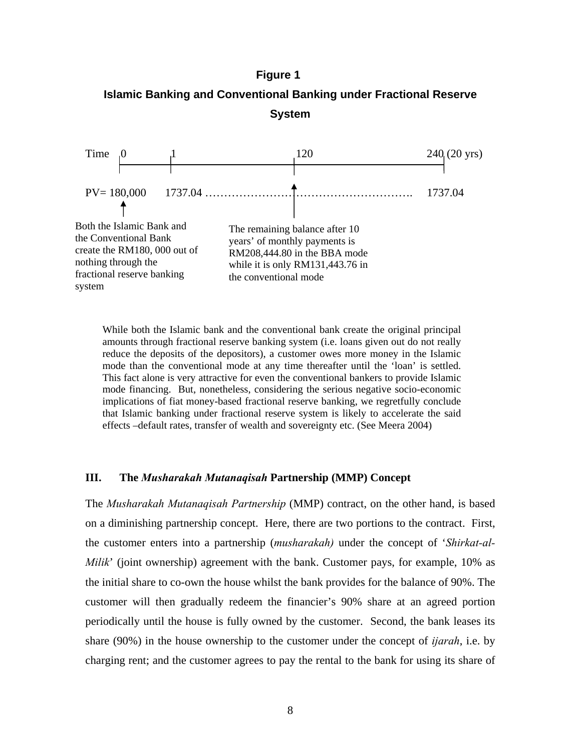# **Figure 1**





While both the Islamic bank and the conventional bank create the original principal amounts through fractional reserve banking system (i.e. loans given out do not really reduce the deposits of the depositors), a customer owes more money in the Islamic mode than the conventional mode at any time thereafter until the 'loan' is settled. This fact alone is very attractive for even the conventional bankers to provide Islamic mode financing. But, nonetheless, considering the serious negative socio-economic implications of fiat money-based fractional reserve banking, we regretfully conclude that Islamic banking under fractional reserve system is likely to accelerate the said effects –default rates, transfer of wealth and sovereignty etc. (See Meera 2004)

#### **III. The** *Musharakah Mutanaqisah* **Partnership (MMP) Concept**

The *Musharakah Mutanaqisah Partnership* (MMP) contract, on the other hand, is based on a diminishing partnership concept. Here, there are two portions to the contract. First, the customer enters into a partnership (*musharakah)* under the concept of '*Shirkat-al-Milik*' (joint ownership) agreement with the bank. Customer pays, for example, 10% as the initial share to co-own the house whilst the bank provides for the balance of 90%. The customer will then gradually redeem the financier's 90% share at an agreed portion periodically until the house is fully owned by the customer. Second, the bank leases its share (90%) in the house ownership to the customer under the concept of *ijarah*, i.e. by charging rent; and the customer agrees to pay the rental to the bank for using its share of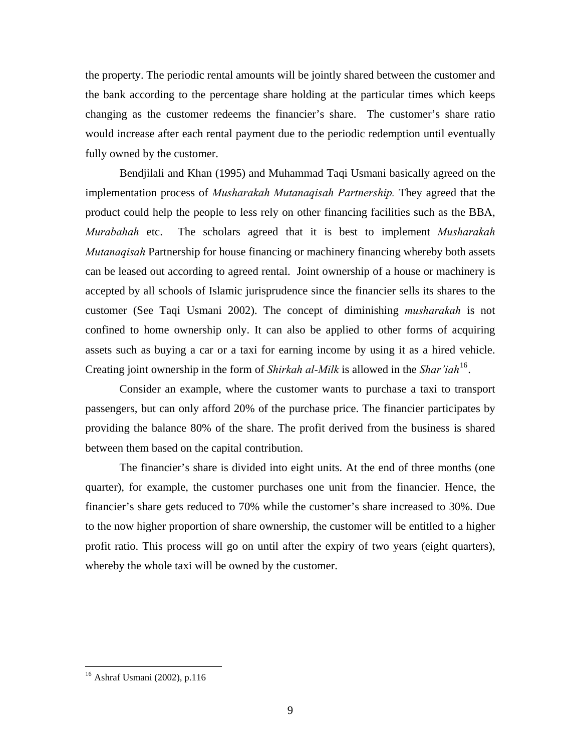the property. The periodic rental amounts will be jointly shared between the customer and the bank according to the percentage share holding at the particular times which keeps changing as the customer redeems the financier's share. The customer's share ratio would increase after each rental payment due to the periodic redemption until eventually fully owned by the customer.

Bendjilali and Khan (1995) and Muhammad Taqi Usmani basically agreed on the implementation process of *Musharakah Mutanaqisah Partnership.* They agreed that the product could help the people to less rely on other financing facilities such as the BBA, *Murabahah* etc. The scholars agreed that it is best to implement *Musharakah Mutanaqisah* Partnership for house financing or machinery financing whereby both assets can be leased out according to agreed rental. Joint ownership of a house or machinery is accepted by all schools of Islamic jurisprudence since the financier sells its shares to the customer (See Taqi Usmani 2002). The concept of diminishing *musharakah* is not confined to home ownership only. It can also be applied to other forms of acquiring assets such as buying a car or a taxi for earning income by using it as a hired vehicle. Creating joint ownership in the form of *Shirkah al-Milk* is allowed in the *Shar'iah*[16](#page-8-0).

Consider an example, where the customer wants to purchase a taxi to transport passengers, but can only afford 20% of the purchase price. The financier participates by providing the balance 80% of the share. The profit derived from the business is shared between them based on the capital contribution.

The financier's share is divided into eight units. At the end of three months (one quarter), for example, the customer purchases one unit from the financier. Hence, the financier's share gets reduced to 70% while the customer's share increased to 30%. Due to the now higher proportion of share ownership, the customer will be entitled to a higher profit ratio. This process will go on until after the expiry of two years (eight quarters), whereby the whole taxi will be owned by the customer.

<u>.</u>

<span id="page-8-0"></span><sup>16</sup> Ashraf Usmani (2002), p.116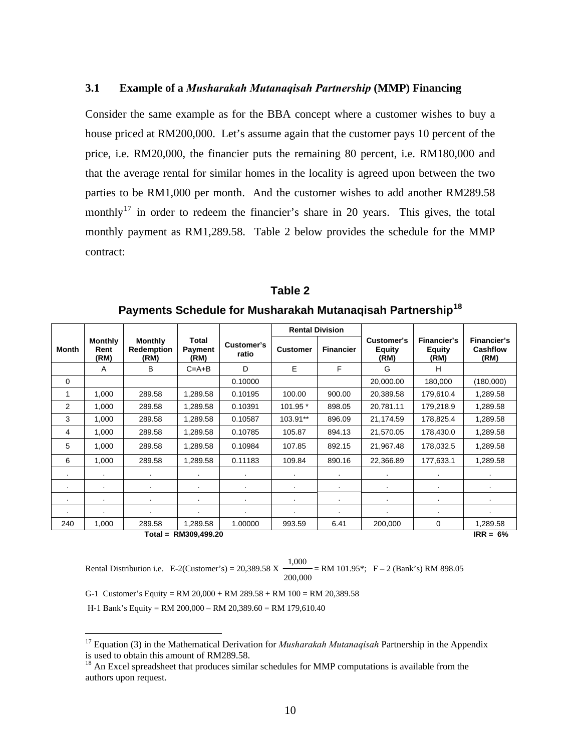# **3.1 Example of a** *Musharakah Mutanaqisah Partnership* **(MMP) Financing**

Consider the same example as for the BBA concept where a customer wishes to buy a house priced at RM200,000. Let's assume again that the customer pays 10 percent of the price, i.e. RM20,000, the financier puts the remaining 80 percent, i.e. RM180,000 and that the average rental for similar homes in the locality is agreed upon between the two parties to be RM1,000 per month. And the customer wishes to add another RM289.58 monthly<sup>[17](#page-9-0)</sup> in order to redeem the financier's share in 20 years. This gives, the total monthly payment as RM1,289.58. Table 2 below provides the schedule for the MMP contract:

|         |                                |                                      |                          |                     | <b>Rental Division</b> |                  |                                     |                                      |                                        |
|---------|--------------------------------|--------------------------------------|--------------------------|---------------------|------------------------|------------------|-------------------------------------|--------------------------------------|----------------------------------------|
| Month   | <b>Monthly</b><br>Rent<br>(RM) | <b>Monthly</b><br>Redemption<br>(RM) | Total<br>Payment<br>(RM) | Customer's<br>ratio | <b>Customer</b>        | <b>Financier</b> | Customer's<br><b>Equity</b><br>(RM) | Financier's<br><b>Equity</b><br>(RM) | Financier's<br><b>Cashflow</b><br>(RM) |
|         | A                              | B                                    | $C = A + B$              | D                   | E                      | F                | G                                   | H                                    |                                        |
| 0       |                                |                                      |                          | 0.10000             |                        |                  | 20,000.00                           | 180,000                              | (180,000)                              |
| 1       | 1,000                          | 289.58                               | 1.289.58                 | 0.10195             | 100.00                 | 900.00           | 20.389.58                           | 179,610.4                            | 1.289.58                               |
| 2       | 1,000                          | 289.58                               | 1,289.58                 | 0.10391             | 101.95 *               | 898.05           | 20,781.11                           | 179,218.9                            | 1,289.58                               |
| 3       | 1.000                          | 289.58                               | 1.289.58                 | 0.10587             | 103.91**               | 896.09           | 21,174.59                           | 178.825.4                            | 1,289.58                               |
| 4       | 1,000                          | 289.58                               | 1,289.58                 | 0.10785             | 105.87                 | 894.13           | 21,570.05                           | 178,430.0                            | 1,289.58                               |
| 5       | 1,000                          | 289.58                               | 1,289.58                 | 0.10984             | 107.85                 | 892.15           | 21,967.48                           | 178,032.5                            | 1,289.58                               |
| 6       | 1,000                          | 289.58                               | 1,289.58                 | 0.11183             | 109.84                 | 890.16           | 22,366.89                           | 177,633.1                            | 1,289.58                               |
| $\cdot$ | $\cdot$                        | $\blacksquare$                       |                          | $\cdot$             | $\cdot$                | $\sim$           | $\sim$                              | $\cdot$                              | $\cdot$                                |
|         | $\bullet$                      |                                      | $\blacksquare$           | $\blacksquare$      |                        | $\blacksquare$   |                                     | $\cdot$                              |                                        |
|         |                                |                                      |                          |                     |                        | ٠                |                                     | ٠                                    |                                        |
|         |                                | ٠                                    | ٠                        |                     | ٠                      |                  | ٠                                   | ٠                                    | ٠                                      |
| 240     | 1,000                          | 289.58                               | 1,289.58                 | 1.00000             | 993.59                 | 6.41             | 200,000                             | 0                                    | 1,289.58                               |
|         |                                |                                      | Total = RM309,499.20     |                     |                        |                  |                                     |                                      | $IRR = 6%$                             |

**Table 2 Payments Schedule for Musharakah Mutanaqisah Partnership[18](#page-9-1)**

 $\overline{a}$ 

Rental Distribution i.e. E-2(Customer's) =  $20,389.58$  X 200,000  $\frac{1,000}{1,000}$  = RM 101.95\*; F – 2 (Bank's) RM 898.05

G-1 Customer's Equity = RM 20,000 + RM 289.58 + RM 100 = RM 20,389.58

H-1 Bank's Equity = RM 200,000 – RM 20,389.60 = RM 179,610.40

<span id="page-9-0"></span><sup>17</sup> Equation (3) in the Mathematical Derivation for *Musharakah Mutanaqisah* Partnership in the Appendix is used to obtain this amount of RM289.58.

<span id="page-9-1"></span> $18$  An Excel spreadsheet that produces similar schedules for MMP computations is available from the authors upon request.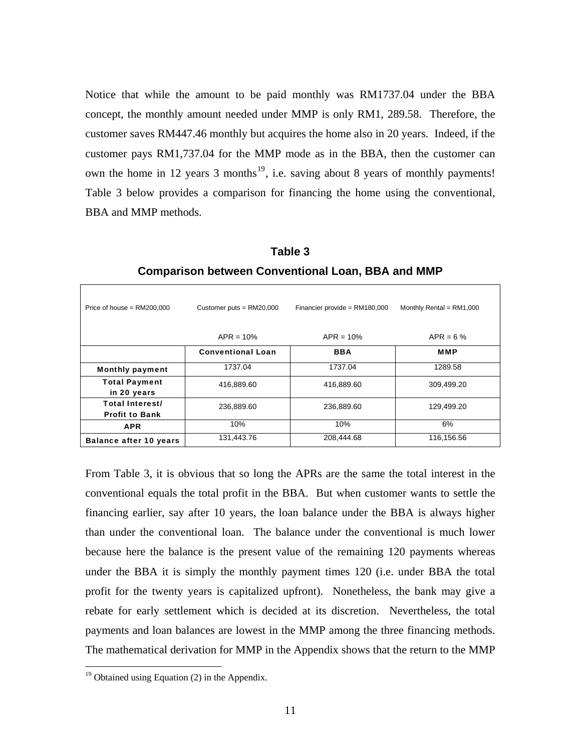Notice that while the amount to be paid monthly was RM1737.04 under the BBA concept, the monthly amount needed under MMP is only RM1, 289.58. Therefore, the customer saves RM447.46 monthly but acquires the home also in 20 years. Indeed, if the customer pays RM1,737.04 for the MMP mode as in the BBA, then the customer can own the home in 12 years 3 months<sup>[19](#page-10-0)</sup>, i.e. saving about 8 years of monthly payments! Table 3 below provides a comparison for financing the home using the conventional, BBA and MMP methods.

| Price of house = $RM200,000$             | Customer puts = $RM20,000$ | Financier provide = $RM180,000$ | Monthly Rental = $RM1,000$ |  |
|------------------------------------------|----------------------------|---------------------------------|----------------------------|--|
|                                          | $APR = 10%$                | $APR = 10%$                     | $APR = 6%$                 |  |
|                                          | <b>Conventional Loan</b>   | <b>BBA</b>                      | <b>MMP</b>                 |  |
| <b>Monthly payment</b>                   | 1737.04                    | 1737.04                         | 1289.58                    |  |
| <b>Total Payment</b><br>in 20 years      | 416,889.60                 | 416,889.60                      | 309,499.20                 |  |
| Total Interest/<br><b>Profit to Bank</b> | 236,889.60                 | 236,889.60                      | 129,499.20                 |  |
| <b>APR</b>                               | 10%                        | 10%                             | 6%                         |  |
| <b>Balance after 10 years</b>            | 131,443.76                 | 208,444.68                      | 116,156.56                 |  |

**Table 3 Comparison between Conventional Loan, BBA and MMP** 

From Table 3, it is obvious that so long the APRs are the same the total interest in the conventional equals the total profit in the BBA. But when customer wants to settle the financing earlier, say after 10 years, the loan balance under the BBA is always higher than under the conventional loan. The balance under the conventional is much lower because here the balance is the present value of the remaining 120 payments whereas under the BBA it is simply the monthly payment times 120 (i.e. under BBA the total profit for the twenty years is capitalized upfront). Nonetheless, the bank may give a rebate for early settlement which is decided at its discretion. Nevertheless, the total payments and loan balances are lowest in the MMP among the three financing methods. The mathematical derivation for MMP in the Appendix shows that the return to the MMP

 $\overline{a}$ 

<span id="page-10-0"></span> $19$  Obtained using Equation (2) in the Appendix.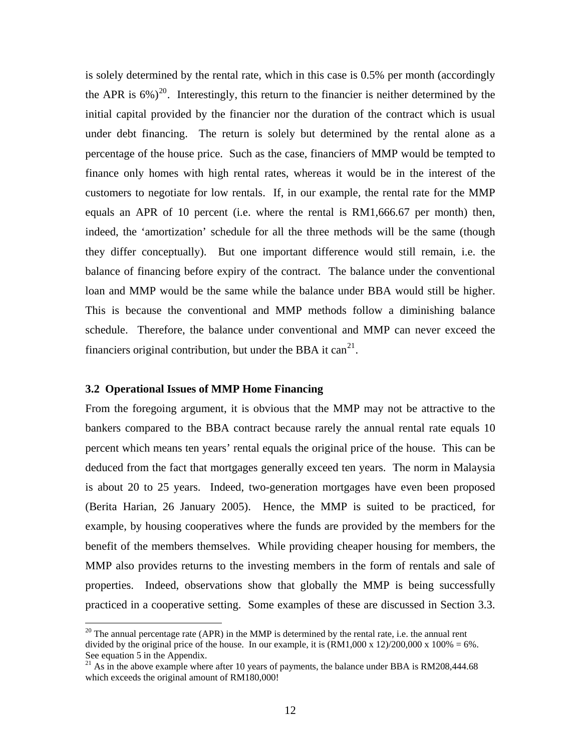is solely determined by the rental rate, which in this case is 0.5% per month (accordingly the APR is  $6\%$ <sup>[20](#page-11-0)</sup>. Interestingly, this return to the financier is neither determined by the initial capital provided by the financier nor the duration of the contract which is usual under debt financing. The return is solely but determined by the rental alone as a percentage of the house price. Such as the case, financiers of MMP would be tempted to finance only homes with high rental rates, whereas it would be in the interest of the customers to negotiate for low rentals. If, in our example, the rental rate for the MMP equals an APR of 10 percent (i.e. where the rental is RM1,666.67 per month) then, indeed, the 'amortization' schedule for all the three methods will be the same (though they differ conceptually). But one important difference would still remain, i.e. the balance of financing before expiry of the contract. The balance under the conventional loan and MMP would be the same while the balance under BBA would still be higher. This is because the conventional and MMP methods follow a diminishing balance schedule. Therefore, the balance under conventional and MMP can never exceed the financiers original contribution, but under the BBA it can<sup>[21](#page-11-1)</sup>.

# **3.2 Operational Issues of MMP Home Financing**

 $\overline{a}$ 

From the foregoing argument, it is obvious that the MMP may not be attractive to the bankers compared to the BBA contract because rarely the annual rental rate equals 10 percent which means ten years' rental equals the original price of the house. This can be deduced from the fact that mortgages generally exceed ten years. The norm in Malaysia is about 20 to 25 years. Indeed, two-generation mortgages have even been proposed (Berita Harian, 26 January 2005). Hence, the MMP is suited to be practiced, for example, by housing cooperatives where the funds are provided by the members for the benefit of the members themselves. While providing cheaper housing for members, the MMP also provides returns to the investing members in the form of rentals and sale of properties. Indeed, observations show that globally the MMP is being successfully practiced in a cooperative setting. Some examples of these are discussed in Section 3.3.

<span id="page-11-0"></span> $20$  The annual percentage rate (APR) in the MMP is determined by the rental rate, i.e. the annual rent divided by the original price of the house. In our example, it is  $(RM1,000 \times 12)/200,000 \times 100\% = 6\%$ . See equation 5 in the Appendix.

<span id="page-11-1"></span> $21$  As in the above example where after 10 years of payments, the balance under BBA is RM208,444.68 which exceeds the original amount of RM180,000!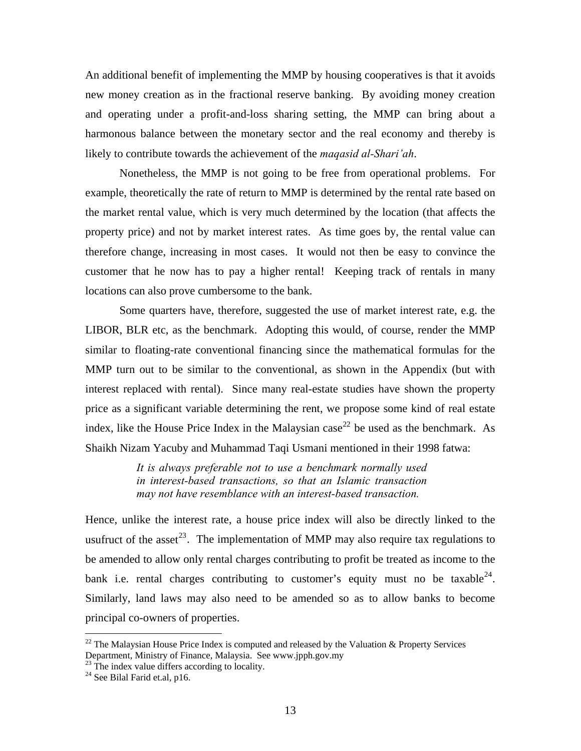An additional benefit of implementing the MMP by housing cooperatives is that it avoids new money creation as in the fractional reserve banking. By avoiding money creation and operating under a profit-and-loss sharing setting, the MMP can bring about a harmonous balance between the monetary sector and the real economy and thereby is likely to contribute towards the achievement of the *maqasid al-Shari'ah*.

 Nonetheless, the MMP is not going to be free from operational problems. For example, theoretically the rate of return to MMP is determined by the rental rate based on the market rental value, which is very much determined by the location (that affects the property price) and not by market interest rates. As time goes by, the rental value can therefore change, increasing in most cases. It would not then be easy to convince the customer that he now has to pay a higher rental! Keeping track of rentals in many locations can also prove cumbersome to the bank.

 Some quarters have, therefore, suggested the use of market interest rate, e.g. the LIBOR, BLR etc, as the benchmark. Adopting this would, of course, render the MMP similar to floating-rate conventional financing since the mathematical formulas for the MMP turn out to be similar to the conventional, as shown in the Appendix (but with interest replaced with rental). Since many real-estate studies have shown the property price as a significant variable determining the rent, we propose some kind of real estate index, like the House Price Index in the Malaysian case<sup>[22](#page-12-0)</sup> be used as the benchmark. As Shaikh Nizam Yacuby and Muhammad Taqi Usmani mentioned in their 1998 fatwa:

> *It is always preferable not to use a benchmark normally used in interest-based transactions, so that an Islamic transaction may not have resemblance with an interest-based transaction.*

Hence, unlike the interest rate, a house price index will also be directly linked to the usufruct of the asset<sup>[23](#page-12-1)</sup>. The implementation of MMP may also require tax regulations to be amended to allow only rental charges contributing to profit be treated as income to the bank i.e. rental charges contributing to customer's equity must no be taxable  $24$ . Similarly, land laws may also need to be amended so as to allow banks to become principal co-owners of properties.

<u>.</u>

<span id="page-12-0"></span><sup>&</sup>lt;sup>22</sup> The Malaysian House Price Index is computed and released by the Valuation & Property Services Department, Ministry of Finance, Malaysia. See www.jpph.gov.my

<span id="page-12-1"></span> $23$  The index value differs according to locality.

<span id="page-12-2"></span> $24$  See Bilal Farid et.al, p16.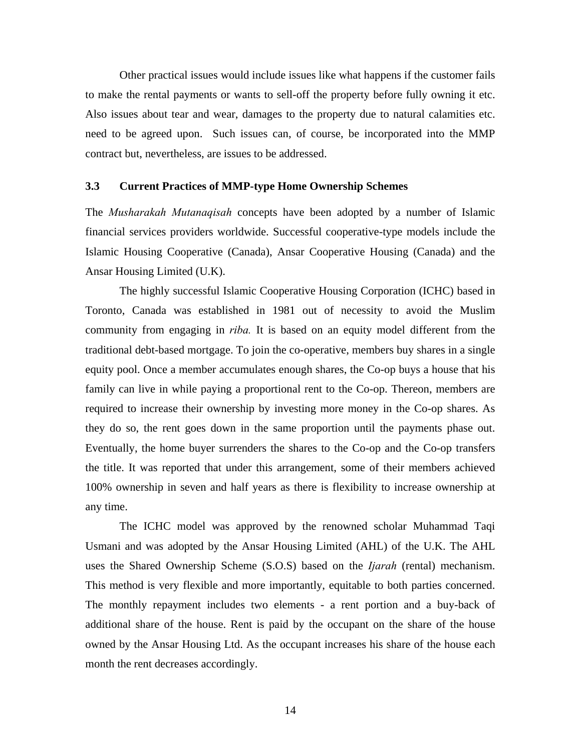Other practical issues would include issues like what happens if the customer fails to make the rental payments or wants to sell-off the property before fully owning it etc. Also issues about tear and wear, damages to the property due to natural calamities etc. need to be agreed upon. Such issues can, of course, be incorporated into the MMP contract but, nevertheless, are issues to be addressed.

## **3.3 Current Practices of MMP-type Home Ownership Schemes**

The *Musharakah Mutanaqisah* concepts have been adopted by a number of Islamic financial services providers worldwide. Successful cooperative-type models include the Islamic Housing Cooperative (Canada), Ansar Cooperative Housing (Canada) and the Ansar Housing Limited (U.K).

 The highly successful Islamic Cooperative Housing Corporation (ICHC) based in Toronto, Canada was established in 1981 out of necessity to avoid the Muslim community from engaging in *riba.* It is based on an equity model different from the traditional debt-based mortgage. To join the co-operative, members buy shares in a single equity pool. Once a member accumulates enough shares, the Co-op buys a house that his family can live in while paying a proportional rent to the Co-op. Thereon, members are required to increase their ownership by investing more money in the Co-op shares. As they do so, the rent goes down in the same proportion until the payments phase out. Eventually, the home buyer surrenders the shares to the Co-op and the Co-op transfers the title. It was reported that under this arrangement, some of their members achieved 100% ownership in seven and half years as there is flexibility to increase ownership at any time.

The ICHC model was approved by the renowned scholar Muhammad Taqi Usmani and was adopted by the Ansar Housing Limited (AHL) of the U.K. The AHL uses the Shared Ownership Scheme (S.O.S) based on the *Ijarah* (rental) mechanism. This method is very flexible and more importantly, equitable to both parties concerned. The monthly repayment includes two elements - a rent portion and a buy-back of additional share of the house. Rent is paid by the occupant on the share of the house owned by the Ansar Housing Ltd. As the occupant increases his share of the house each month the rent decreases accordingly.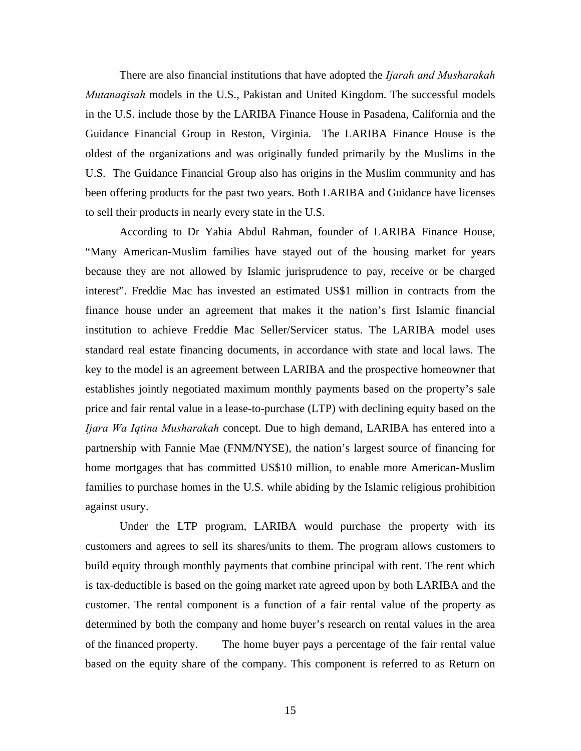There are also financial institutions that have adopted the *Ijarah and Musharakah Mutanaqisah* models in the U.S., Pakistan and United Kingdom. The successful models in the U.S. include those by the LARIBA Finance House in Pasadena, California and the Guidance Financial Group in Reston, Virginia. The LARIBA Finance House is the oldest of the organizations and was originally funded primarily by the Muslims in the U.S. The Guidance Financial Group also has origins in the Muslim community and has been offering products for the past two years. Both LARIBA and Guidance have licenses to sell their products in nearly every state in the U.S.

According to Dr Yahia Abdul Rahman, founder of LARIBA Finance House, "Many American-Muslim families have stayed out of the housing market for years because they are not allowed by Islamic jurisprudence to pay, receive or be charged interest". Freddie Mac has invested an estimated US\$1 million in contracts from the finance house under an agreement that makes it the nation's first Islamic financial institution to achieve Freddie Mac Seller/Servicer status. The LARIBA model uses standard real estate financing documents, in accordance with state and local laws. The key to the model is an agreement between LARIBA and the prospective homeowner that establishes jointly negotiated maximum monthly payments based on the property's sale price and fair rental value in a lease-to-purchase (LTP) with declining equity based on the *Ijara Wa Iqtina Musharakah* concept. Due to high demand, LARIBA has entered into a partnership with Fannie Mae (FNM/NYSE), the nation's largest source of financing for home mortgages that has committed US\$10 million, to enable more American-Muslim families to purchase homes in the U.S. while abiding by the Islamic religious prohibition against usury.

Under the LTP program, LARIBA would purchase the property with its customers and agrees to sell its shares/units to them. The program allows customers to build equity through monthly payments that combine principal with rent. The rent which is tax-deductible is based on the going market rate agreed upon by both LARIBA and the customer. The rental component is a function of a fair rental value of the property as determined by both the company and home buyer's research on rental values in the area of the financed property. The home buyer pays a percentage of the fair rental value based on the equity share of the company. This component is referred to as Return on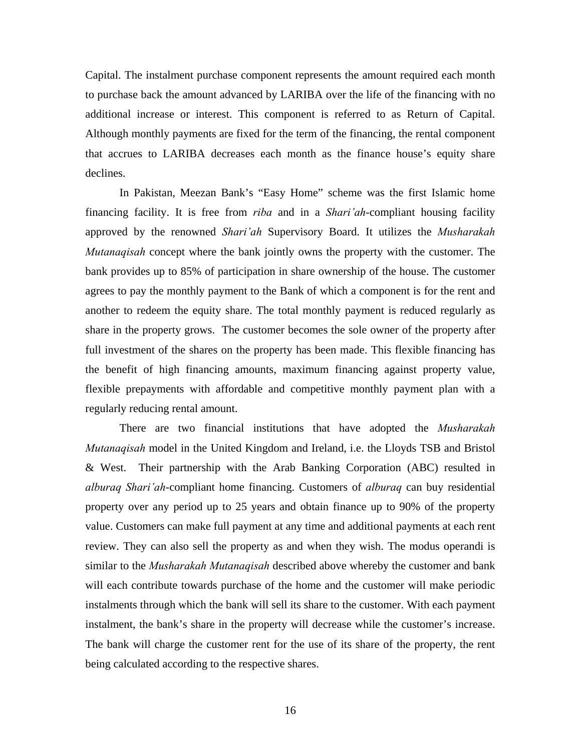Capital. The instalment purchase component represents the amount required each month to purchase back the amount advanced by LARIBA over the life of the financing with no additional increase or interest. This component is referred to as Return of Capital. Although monthly payments are fixed for the term of the financing, the rental component that accrues to LARIBA decreases each month as the finance house's equity share declines.

In Pakistan, Meezan Bank's "Easy Home" scheme was the first Islamic home financing facility. It is free from *riba* and in a *Shari'ah*-compliant housing facility approved by the renowned *Shari'ah* Supervisory Board. It utilizes the *Musharakah Mutanaqisah* concept where the bank jointly owns the property with the customer. The bank provides up to 85% of participation in share ownership of the house. The customer agrees to pay the monthly payment to the Bank of which a component is for the rent and another to redeem the equity share. The total monthly payment is reduced regularly as share in the property grows. The customer becomes the sole owner of the property after full investment of the shares on the property has been made. This flexible financing has the benefit of high financing amounts, maximum financing against property value, flexible prepayments with affordable and competitive monthly payment plan with a regularly reducing rental amount.

There are two financial institutions that have adopted the *Musharakah Mutanaqisah* model in the United Kingdom and Ireland, i.e. the Lloyds TSB and Bristol & West. Their partnership with the Arab Banking Corporation (ABC) resulted in *alburaq Shari'ah*-compliant home financing. Customers of *alburaq* can buy residential property over any period up to 25 years and obtain finance up to 90% of the property value. Customers can make full payment at any time and additional payments at each rent review. They can also sell the property as and when they wish. The modus operandi is similar to the *Musharakah Mutanaqisah* described above whereby the customer and bank will each contribute towards purchase of the home and the customer will make periodic instalments through which the bank will sell its share to the customer. With each payment instalment, the bank's share in the property will decrease while the customer's increase. The bank will charge the customer rent for the use of its share of the property, the rent being calculated according to the respective shares.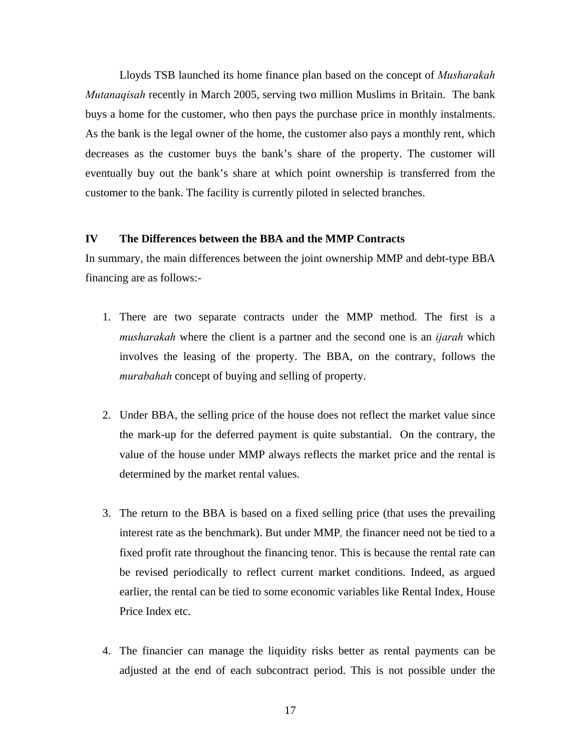Lloyds TSB launched its home finance plan based on the concept of *Musharakah Mutanaqisah* recently in March 2005, serving two million Muslims in Britain. The bank buys a home for the customer, who then pays the purchase price in monthly instalments. As the bank is the legal owner of the home, the customer also pays a monthly rent, which decreases as the customer buys the bank's share of the property. The customer will eventually buy out the bank's share at which point ownership is transferred from the customer to the bank. The facility is currently piloted in selected branches.

## **IV The Differences between the BBA and the MMP Contracts**

In summary, the main differences between the joint ownership MMP and debt-type BBA financing are as follows:-

- 1. There are two separate contracts under the MMP method. The first is a *musharakah* where the client is a partner and the second one is an *ijarah* which involves the leasing of the property. The BBA, on the contrary, follows the *murabahah* concept of buying and selling of property.
- 2. Under BBA, the selling price of the house does not reflect the market value since the mark-up for the deferred payment is quite substantial. On the contrary, the value of the house under MMP always reflects the market price and the rental is determined by the market rental values.
- 3. The return to the BBA is based on a fixed selling price (that uses the prevailing interest rate as the benchmark). But under MMP*,* the financer need not be tied to a fixed profit rate throughout the financing tenor. This is because the rental rate can be revised periodically to reflect current market conditions. Indeed, as argued earlier, the rental can be tied to some economic variables like Rental Index, House Price Index etc.
- 4. The financier can manage the liquidity risks better as rental payments can be adjusted at the end of each subcontract period. This is not possible under the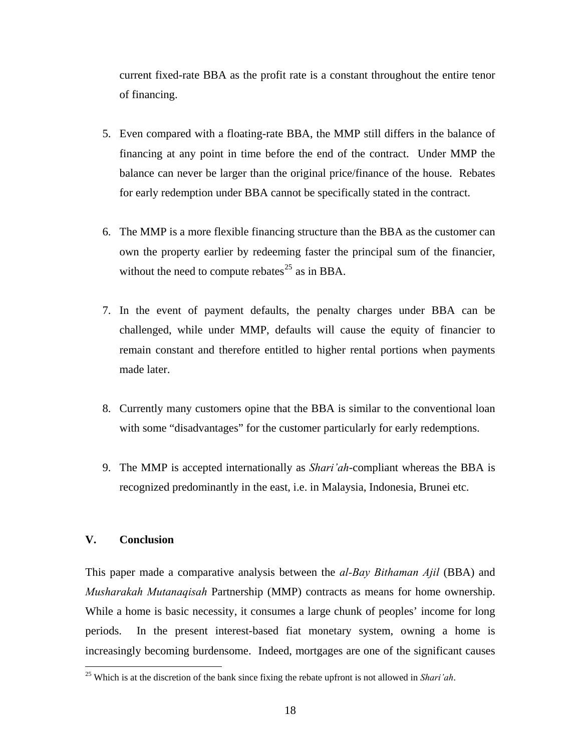current fixed-rate BBA as the profit rate is a constant throughout the entire tenor of financing.

- 5. Even compared with a floating-rate BBA, the MMP still differs in the balance of financing at any point in time before the end of the contract. Under MMP the balance can never be larger than the original price/finance of the house. Rebates for early redemption under BBA cannot be specifically stated in the contract.
- 6. The MMP is a more flexible financing structure than the BBA as the customer can own the property earlier by redeeming faster the principal sum of the financier, without the need to compute rebates<sup>[25](#page-17-0)</sup> as in BBA.
- 7. In the event of payment defaults, the penalty charges under BBA can be challenged, while under MMP, defaults will cause the equity of financier to remain constant and therefore entitled to higher rental portions when payments made later.
- 8. Currently many customers opine that the BBA is similar to the conventional loan with some "disadvantages" for the customer particularly for early redemptions.
- 9. The MMP is accepted internationally as *Shari'ah*-compliant whereas the BBA is recognized predominantly in the east, i.e. in Malaysia, Indonesia, Brunei etc.

# **V. Conclusion**

 $\overline{a}$ 

This paper made a comparative analysis between the *al-Bay Bithaman Ajil* (BBA) and *Musharakah Mutanaqisah* Partnership (MMP) contracts as means for home ownership. While a home is basic necessity, it consumes a large chunk of peoples' income for long periods. In the present interest-based fiat monetary system, owning a home is increasingly becoming burdensome. Indeed, mortgages are one of the significant causes

<span id="page-17-0"></span><sup>25</sup> Which is at the discretion of the bank since fixing the rebate upfront is not allowed in *Shari'ah*.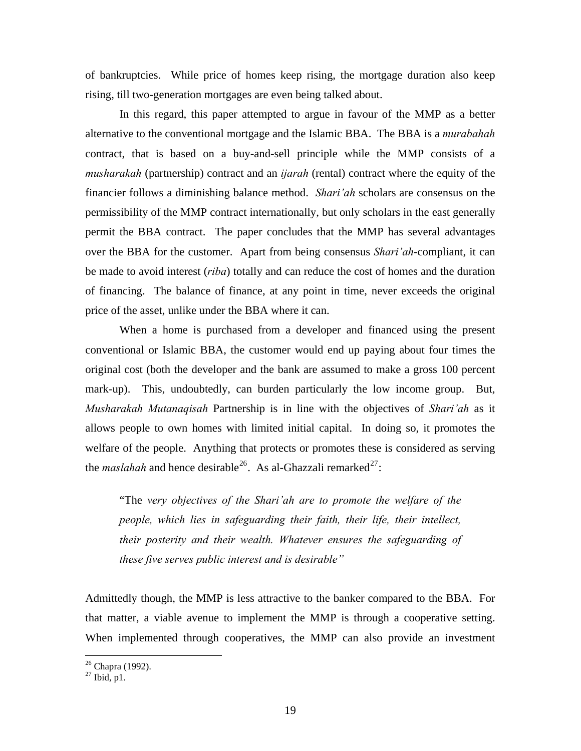of bankruptcies. While price of homes keep rising, the mortgage duration also keep rising, till two-generation mortgages are even being talked about.

 In this regard, this paper attempted to argue in favour of the MMP as a better alternative to the conventional mortgage and the Islamic BBA. The BBA is a *murabahah* contract, that is based on a buy-and-sell principle while the MMP consists of a *musharakah* (partnership) contract and an *ijarah* (rental) contract where the equity of the financier follows a diminishing balance method. *Shari'ah* scholars are consensus on the permissibility of the MMP contract internationally, but only scholars in the east generally permit the BBA contract. The paper concludes that the MMP has several advantages over the BBA for the customer. Apart from being consensus *Shari'ah*-compliant, it can be made to avoid interest (*riba*) totally and can reduce the cost of homes and the duration of financing. The balance of finance, at any point in time, never exceeds the original price of the asset, unlike under the BBA where it can.

 When a home is purchased from a developer and financed using the present conventional or Islamic BBA, the customer would end up paying about four times the original cost (both the developer and the bank are assumed to make a gross 100 percent mark-up). This, undoubtedly, can burden particularly the low income group. But, *Musharakah Mutanaqisah* Partnership is in line with the objectives of *Shari'ah* as it allows people to own homes with limited initial capital. In doing so, it promotes the welfare of the people. Anything that protects or promotes these is considered as serving the *maslahah* and hence desirable<sup>[26](#page-18-0)</sup>. As al-Ghazzali remarked<sup>[27](#page-18-1)</sup>:

"The *very objectives of the Shari'ah are to promote the welfare of the people, which lies in safeguarding their faith, their life, their intellect, their posterity and their wealth. Whatever ensures the safeguarding of these five serves public interest and is desirable"* 

Admittedly though, the MMP is less attractive to the banker compared to the BBA. For that matter, a viable avenue to implement the MMP is through a cooperative setting. When implemented through cooperatives, the MMP can also provide an investment

 $\overline{a}$ 

<sup>&</sup>lt;sup>26</sup> Chapra (1992).

<span id="page-18-1"></span><span id="page-18-0"></span> $^{27}$  Ibid, p1.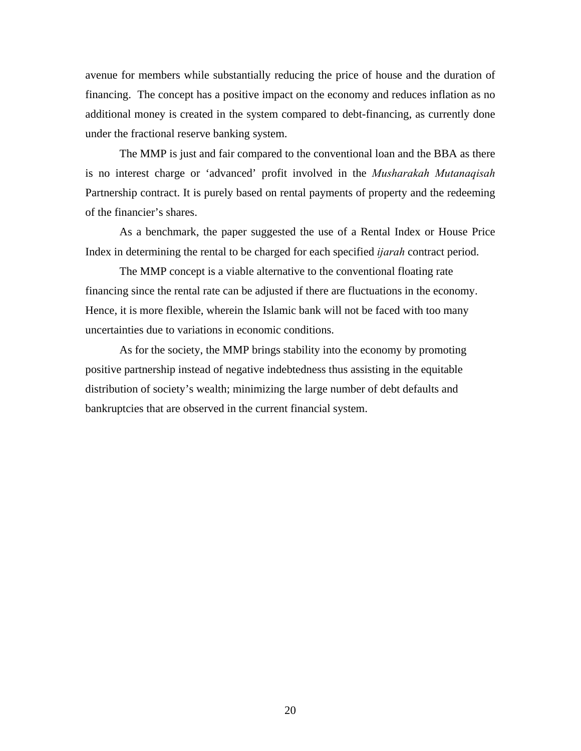avenue for members while substantially reducing the price of house and the duration of financing. The concept has a positive impact on the economy and reduces inflation as no additional money is created in the system compared to debt-financing, as currently done under the fractional reserve banking system.

The MMP is just and fair compared to the conventional loan and the BBA as there is no interest charge or 'advanced' profit involved in the *Musharakah Mutanaqisah*  Partnership contract. It is purely based on rental payments of property and the redeeming of the financier's shares.

As a benchmark, the paper suggested the use of a Rental Index or House Price Index in determining the rental to be charged for each specified *ijarah* contract period.

The MMP concept is a viable alternative to the conventional floating rate financing since the rental rate can be adjusted if there are fluctuations in the economy. Hence, it is more flexible, wherein the Islamic bank will not be faced with too many uncertainties due to variations in economic conditions.

As for the society, the MMP brings stability into the economy by promoting positive partnership instead of negative indebtedness thus assisting in the equitable distribution of society's wealth; minimizing the large number of debt defaults and bankruptcies that are observed in the current financial system.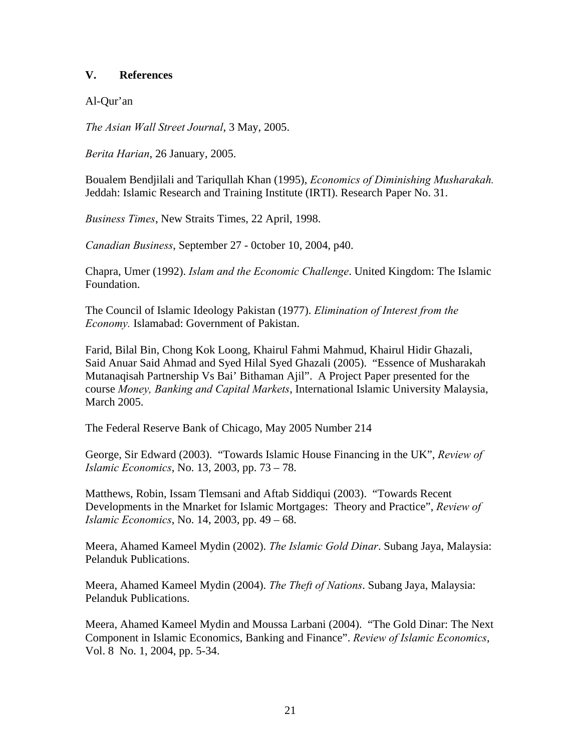# **V. References**

Al-Qur'an

*The Asian Wall Street Journal*, 3 May, 2005.

*Berita Harian*, 26 January, 2005.

Boualem Bendjilali and Tariqullah Khan (1995), *Economics of Diminishing Musharakah.* Jeddah: Islamic Research and Training Institute (IRTI). Research Paper No. 31.

*Business Times*, New Straits Times, 22 April, 1998.

*Canadian Business*, September 27 - 0ctober 10, 2004, p40.

Chapra, Umer (1992). *Islam and the Economic Challenge*. United Kingdom: The Islamic Foundation.

The Council of Islamic Ideology Pakistan (1977). *Elimination of Interest from the Economy.* Islamabad: Government of Pakistan.

Farid, Bilal Bin, Chong Kok Loong, Khairul Fahmi Mahmud, Khairul Hidir Ghazali, Said Anuar Said Ahmad and Syed Hilal Syed Ghazali (2005). "Essence of Musharakah Mutanaqisah Partnership Vs Bai' Bithaman Ajil". A Project Paper presented for the course *Money, Banking and Capital Markets*, International Islamic University Malaysia, March 2005.

The Federal Reserve Bank of Chicago, May 2005 Number 214

George, Sir Edward (2003). "Towards Islamic House Financing in the UK", *Review of Islamic Economics*, No. 13, 2003, pp. 73 – 78.

Matthews, Robin, Issam Tlemsani and Aftab Siddiqui (2003). "Towards Recent Developments in the Mnarket for Islamic Mortgages: Theory and Practice", *Review of Islamic Economics*, No. 14, 2003, pp. 49 – 68.

Meera, Ahamed Kameel Mydin (2002). *The Islamic Gold Dinar*. Subang Jaya, Malaysia: Pelanduk Publications.

Meera, Ahamed Kameel Mydin (2004). *The Theft of Nations*. Subang Jaya, Malaysia: Pelanduk Publications.

Meera, Ahamed Kameel Mydin and Moussa Larbani (2004). "The Gold Dinar: The Next Component in Islamic Economics, Banking and Finance". *Review of Islamic Economics*, Vol. 8 No. 1, 2004, pp. 5-34.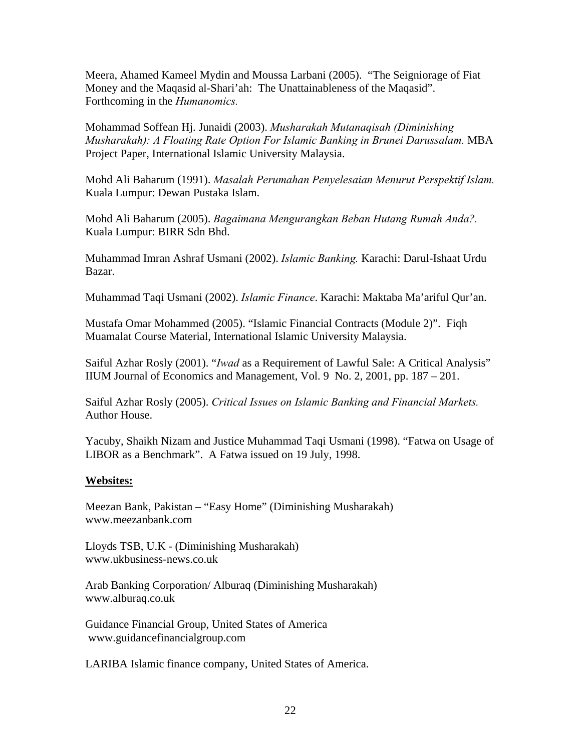Meera, Ahamed Kameel Mydin and Moussa Larbani (2005). "The Seigniorage of Fiat Money and the Maqasid al-Shari'ah: The Unattainableness of the Maqasid". Forthcoming in the *Humanomics.*

Mohammad Soffean Hj. Junaidi (2003). *Musharakah Mutanaqisah (Diminishing Musharakah): A Floating Rate Option For Islamic Banking in Brunei Darussalam.* MBA Project Paper, International Islamic University Malaysia.

Mohd Ali Baharum (1991). *Masalah Perumahan Penyelesaian Menurut Perspektif Islam.* Kuala Lumpur: Dewan Pustaka Islam.

Mohd Ali Baharum (2005). *Bagaimana Mengurangkan Beban Hutang Rumah Anda?.* Kuala Lumpur: BIRR Sdn Bhd.

Muhammad Imran Ashraf Usmani (2002). *Islamic Banking.* Karachi: Darul-Ishaat Urdu Bazar.

Muhammad Taqi Usmani (2002). *Islamic Finance*. Karachi: Maktaba Ma'ariful Qur'an.

Mustafa Omar Mohammed (2005). "Islamic Financial Contracts (Module 2)". Fiqh Muamalat Course Material, International Islamic University Malaysia.

Saiful Azhar Rosly (2001). "*Iwad* as a Requirement of Lawful Sale: A Critical Analysis" IIUM Journal of Economics and Management, Vol. 9 No. 2, 2001, pp. 187 – 201.

Saiful Azhar Rosly (2005). *Critical Issues on Islamic Banking and Financial Markets.*  Author House.

Yacuby, Shaikh Nizam and Justice Muhammad Taqi Usmani (1998). "Fatwa on Usage of LIBOR as a Benchmark". A Fatwa issued on 19 July, 1998.

# **Websites:**

Meezan Bank, Pakistan – "Easy Home" (Diminishing Musharakah) www.meezanbank.com

Lloyds TSB, U.K - (Diminishing Musharakah) www.ukbusiness-news.co.uk

Arab Banking Corporation/ Alburaq (Diminishing Musharakah) www.alburaq.co.uk

Guidance Financial Group, United States of America www.guidancefinancialgroup.com

LARIBA Islamic finance company, United States of America.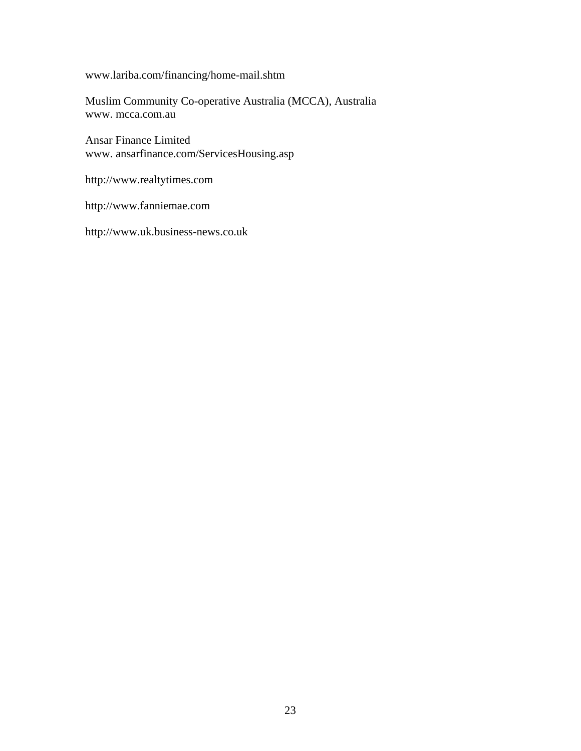[www.lariba.com/financing/home-mail.shtm](http://www.lariba.com/financing/home-mail.shtm) 

Muslim Community Co-operative Australia (MCCA), Australia www. mcca.com.au

Ansar Finance Limited www. ansarfinance.com/ServicesHousing.asp

[http://www.](http://www/)realtytimes.com

[http://www.fanniemae.com](http://www.fanniemae.com/) 

http://www.uk.business-news.co.uk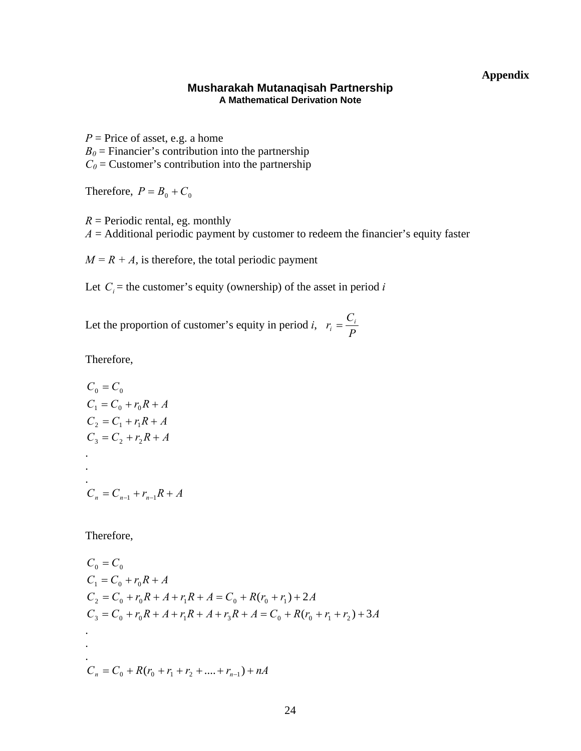# **Appendix**

## **Musharakah Mutanaqisah Partnership A Mathematical Derivation Note**

 $P =$ Price of asset, e.g. a home  $B_0$  = Financier's contribution into the partnership  $C_0$  = Customer's contribution into the partnership

Therefore,  $P = B_0 + C_0$ 

 $R$  = Periodic rental, eg. monthly  $A =$  Additional periodic payment by customer to redeem the financier's equity faster

 $M = R + A$ , is therefore, the total periodic payment

Let  $C_i$  = the customer's equity (ownership) of the asset in period *i* 

Let the proportion of customer's equity in period *i*,  $r_i = \frac{C_i}{P}$ 

Therefore,

$$
C_0 = C_0
$$
  
\n
$$
C_1 = C_0 + r_0 R + A
$$
  
\n
$$
C_2 = C_1 + r_1 R + A
$$
  
\n
$$
C_3 = C_2 + r_2 R + A
$$
  
\n
$$
\vdots
$$
  
\n
$$
C_n = C_{n-1} + r_{n-1} R + A
$$

Therefore,

$$
C_0 = C_0
$$
  
\n
$$
C_1 = C_0 + r_0 R + A
$$
  
\n
$$
C_2 = C_0 + r_0 R + A + r_1 R + A = C_0 + R(r_0 + r_1) + 2A
$$
  
\n
$$
C_3 = C_0 + r_0 R + A + r_1 R + A + r_3 R + A = C_0 + R(r_0 + r_1 + r_2) + 3A
$$
  
\n
$$
\vdots
$$
  
\n
$$
C_n = C_0 + R(r_0 + r_1 + r_2 + \dots + r_{n-1}) + nA
$$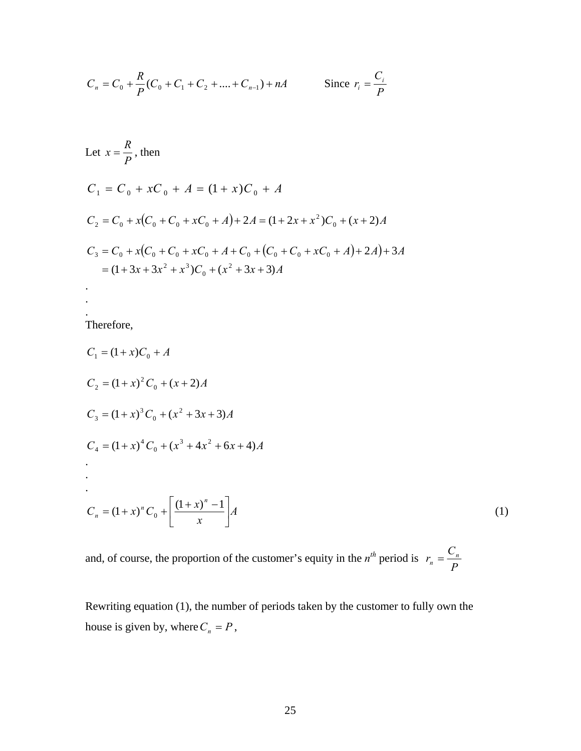$$
C_n = C_0 + \frac{R}{P}(C_0 + C_1 + C_2 + \dots + C_{n-1}) + nA
$$
 Since  $r_i = \frac{C_i}{P}$ 

Let 
$$
x = \frac{R}{P}
$$
, then  
\n
$$
C_1 = C_0 + xC_0 + A = (1 + x)C_0 + A
$$
\n
$$
C_2 = C_0 + x(C_0 + C_0 + xC_0 + A) + 2A = (1 + 2x + x^2)C_0 + (x + 2)A
$$
\n
$$
C_3 = C_0 + x(C_0 + C_0 + xC_0 + A + C_0 + (C_0 + C_0 + xC_0 + A) + 2A) + 3A
$$
\n
$$
= (1 + 3x + 3x^2 + x^3)C_0 + (x^2 + 3x + 3)A
$$

Therefore,

. .

$$
C_1 = (1+x)C_0 + A
$$
  
\n
$$
C_2 = (1+x)^2 C_0 + (x+2)A
$$
  
\n
$$
C_3 = (1+x)^3 C_0 + (x^2+3x+3)A
$$
  
\n
$$
C_4 = (1+x)^4 C_0 + (x^3+4x^2+6x+4)A
$$
  
\n
$$
\vdots
$$
  
\n
$$
C_n = (1+x)^n C_0 + \left[ \frac{(1+x)^n - 1}{x} \right]A
$$
  
\n(1)

and, of course, the proportion of the customer's equity in the  $n^{th}$  period is  $r_n = \frac{C_n}{P}$ 

Rewriting equation (1), the number of periods taken by the customer to fully own the house is given by, where  $C_n = P$ ,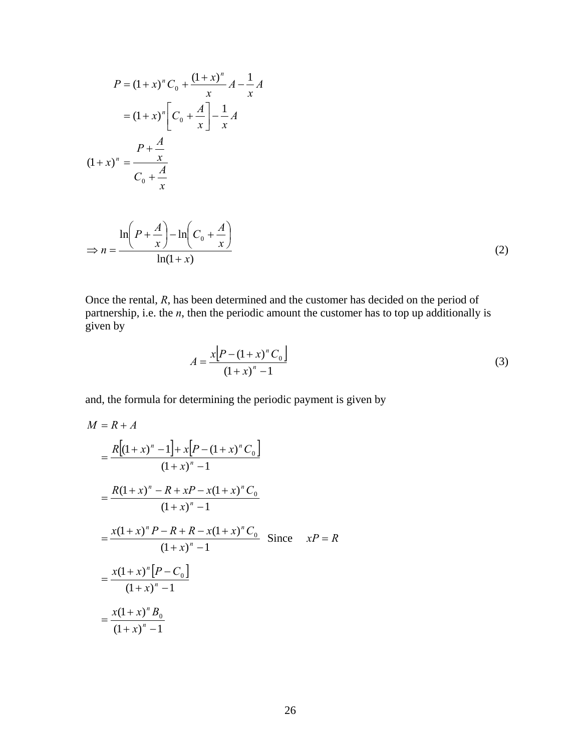$$
P = (1+x)^n C_0 + \frac{(1+x)^n}{x} A - \frac{1}{x} A
$$
  

$$
= (1+x)^n \left[ C_0 + \frac{A}{x} \right] - \frac{1}{x} A
$$
  

$$
(1+x)^n = \frac{P + \frac{A}{x}}{C_0 + \frac{A}{x}}
$$
  

$$
\Rightarrow n = \frac{\ln \left( P + \frac{A}{x} \right) - \ln \left( C_0 + \frac{A}{x} \right)}{\ln(1+x)}
$$
  

$$
(2)
$$

Once the rental, *R*, has been determined and the customer has decided on the period of partnership, i.e. the *n*, then the periodic amount the customer has to top up additionally is given by

$$
A = \frac{x[P - (1 + x)^n C_0]}{(1 + x)^n - 1}
$$
 (3)

and, the formula for determining the periodic payment is given by

$$
M = R + A
$$
  
=  $\frac{R[(1+x)^n - 1] + x[P - (1+x)^n C_0]}{(1+x)^n - 1}$   
=  $\frac{R(1+x)^n - R + xP - x(1+x)^n C_0}{(1+x)^n - 1}$   
=  $\frac{x(1+x)^n P - R + R - x(1+x)^n C_0}{(1+x)^n - 1}$  Since  $xP = R$   
=  $\frac{x(1+x)^n [P - C_0]}{(1+x)^n - 1}$   
=  $\frac{x(1+x)^n B_0}{(1+x)^n - 1}$